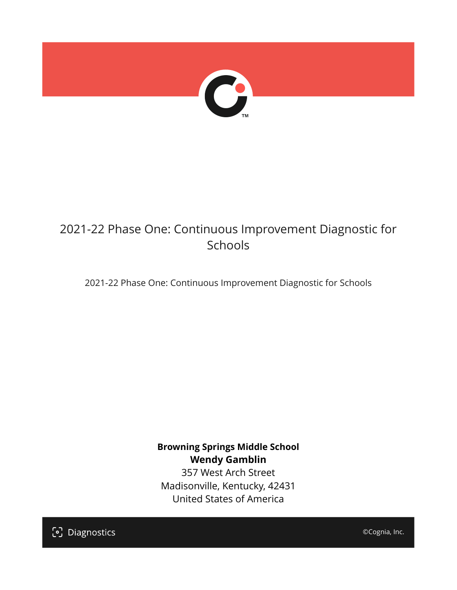

# 2021-22 Phase One: Continuous Improvement Diagnostic for Schools

2021-22 Phase One: Continuous Improvement Diagnostic for Schools

**Browning Springs Middle School Wendy Gamblin** 357 West Arch Street Madisonville, Kentucky, 42431 United States of America

[၁] Diagnostics

©Cognia, Inc.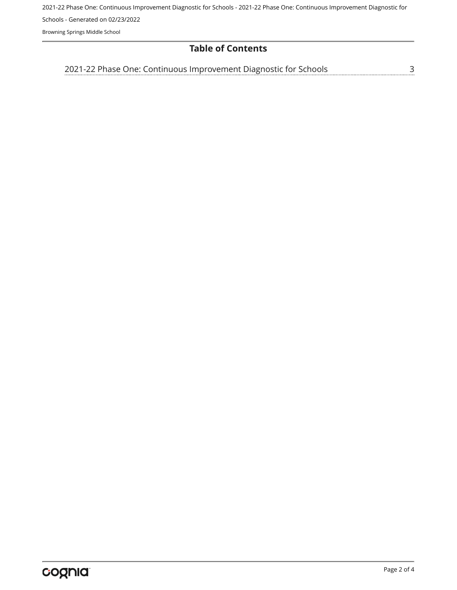2021-22 Phase One: Continuous Improvement Diagnostic for Schools - 2021-22 Phase One: Continuous Improvement Diagnostic for Schools - Generated on 02/23/2022

Browning Springs Middle School

# **Table of Contents**

<u>[3](#page-2-0)</u> [2021-22 Phase One: Continuous Improvement Diagnostic for Schools](#page-2-0)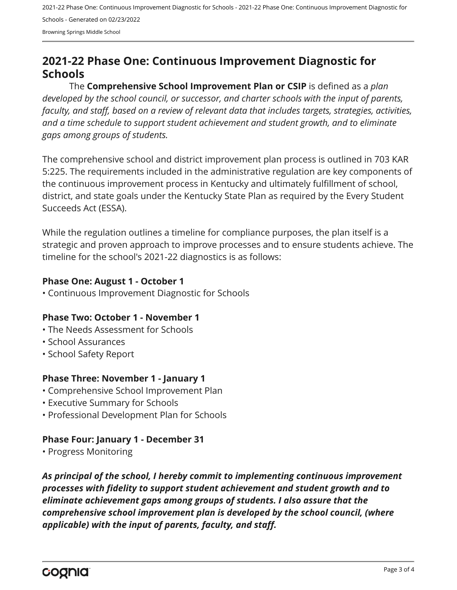2021-22 Phase One: Continuous Improvement Diagnostic for Schools - 2021-22 Phase One: Continuous Improvement Diagnostic for Schools - Generated on 02/23/2022 Browning Springs Middle School

# <span id="page-2-0"></span>**2021-22 Phase One: Continuous Improvement Diagnostic for Schools**

The **Comprehensive School Improvement Plan or CSIP** is defined as a *plan developed by the school council, or successor, and charter schools with the input of parents, faculty, and staff, based on a review of relevant data that includes targets, strategies, activities, and a time schedule to support student achievement and student growth, and to eliminate gaps among groups of students.*

The comprehensive school and district improvement plan process is outlined in 703 KAR 5:225. The requirements included in the administrative regulation are key components of the continuous improvement process in Kentucky and ultimately fulfillment of school, district, and state goals under the Kentucky State Plan as required by the Every Student Succeeds Act (ESSA).

While the regulation outlines a timeline for compliance purposes, the plan itself is a strategic and proven approach to improve processes and to ensure students achieve. The timeline for the school's 2021-22 diagnostics is as follows:

#### **Phase One: August 1 - October 1**

• Continuous Improvement Diagnostic for Schools

# **Phase Two: October 1 - November 1**

- The Needs Assessment for Schools
- School Assurances
- School Safety Report

# **Phase Three: November 1 - January 1**

- Comprehensive School Improvement Plan
- Executive Summary for Schools
- Professional Development Plan for Schools

# **Phase Four: January 1 - December 31**

• Progress Monitoring

*As principal of the school, I hereby commit to implementing continuous improvement processes with fidelity to support student achievement and student growth and to eliminate achievement gaps among groups of students. I also assure that the comprehensive school improvement plan is developed by the school council, (where applicable) with the input of parents, faculty, and staff.*